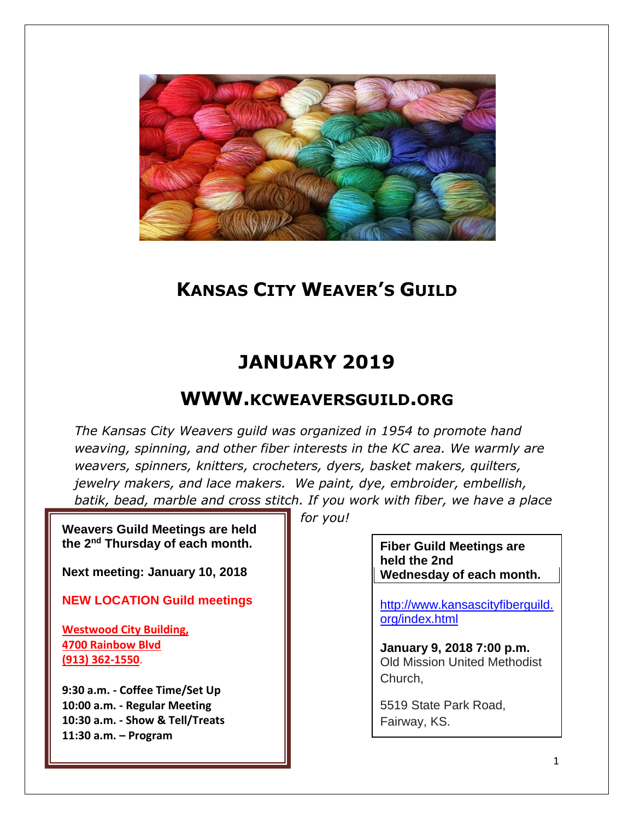

# **KANSAS CITY WEAVER'S GUILD**

# **JANUARY 2019**

# **WWW.KCWEAVERSGUILD.ORG**

*The Kansas City Weavers guild was organized in 1954 to promote hand weaving, spinning, and other fiber interests in the KC area. We warmly are weavers, spinners, knitters, crocheters, dyers, basket makers, quilters, jewelry makers, and lace makers. We paint, dye, embroider, embellish, batik, bead, marble and cross stitch. If you work with fiber, we have a place* 

**Weavers Guild Meetings are held the 2nd Thursday of each month.**

**Next meeting: January 10, 2018**

**NEW LOCATION Guild meetings**

**Westwood City Building, 4700 Rainbow Blvd (913) 362-1550**.

.

**9:30 a.m. - Coffee Time/Set Up 10:00 a.m. - Regular Meeting 10:30 a.m. - Show & Tell/Treats 11:30 a.m. – Program** 

*for you!*

**Fiber Guild Meetings are held the 2nd Wednesday of each month.**

[http://www.kansascityfiberguild.](http://www.kansascityfiberguild.org/index.html) [org/index.html](http://www.kansascityfiberguild.org/index.html)

**January 9, 2018 7:00 p.m.** Old Mission United Methodist Church,

5519 State Park Road, Fairway, KS.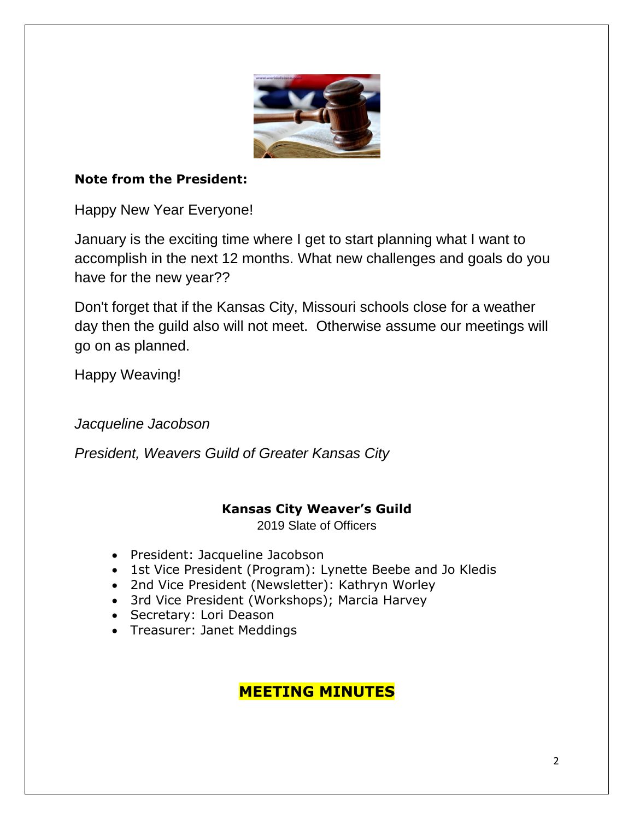

#### **Note from the President:**

Happy New Year Everyone!

January is the exciting time where I get to start planning what I want to accomplish in the next 12 months. What new challenges and goals do you have for the new year??

Don't forget that if the Kansas City, Missouri schools close for a weather day then the guild also will not meet. Otherwise assume our meetings will go on as planned.

Happy Weaving!

*Jacqueline Jacobson*

*President, Weavers Guild of Greater Kansas City*

#### **Kansas City Weaver's Guild**

2019 Slate of Officers

- President: Jacqueline Jacobson
- 1st Vice President (Program): Lynette Beebe and Jo Kledis
- 2nd Vice President (Newsletter): Kathryn Worley
- 3rd Vice President (Workshops); Marcia Harvey
- Secretary: Lori Deason
- Treasurer: Janet Meddings

## **MEETING MINUTES**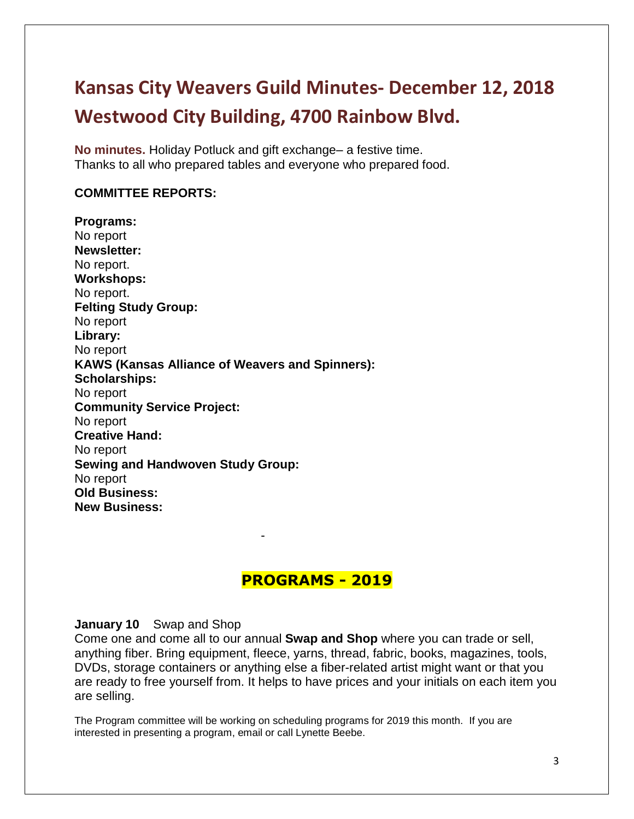# **Kansas City Weavers Guild Minutes- December 12, 2018 Westwood City Building, 4700 Rainbow Blvd.**

**No minutes.** Holiday Potluck and gift exchange– a festive time. Thanks to all who prepared tables and everyone who prepared food.

#### **COMMITTEE REPORTS:**

**Programs:** No report **Newsletter:**  No report. **Workshops:** No report. **Felting Study Group:** No report **Library:** No report **KAWS (Kansas Alliance of Weavers and Spinners): Scholarships:** No report **Community Service Project:**  No report **Creative Hand:** No report **Sewing and Handwoven Study Group:** No report **Old Business: New Business:**

#### **PROGRAMS - 2019**

-

**January 10** Swap and Shop

Come one and come all to our annual **Swap and Shop** where you can trade or sell, anything fiber. Bring equipment, fleece, yarns, thread, fabric, books, magazines, tools, DVDs, storage containers or anything else a fiber-related artist might want or that you are ready to free yourself from. It helps to have prices and your initials on each item you are selling.

The Program committee will be working on scheduling programs for 2019 this month. If you are interested in presenting a program, email or call Lynette Beebe.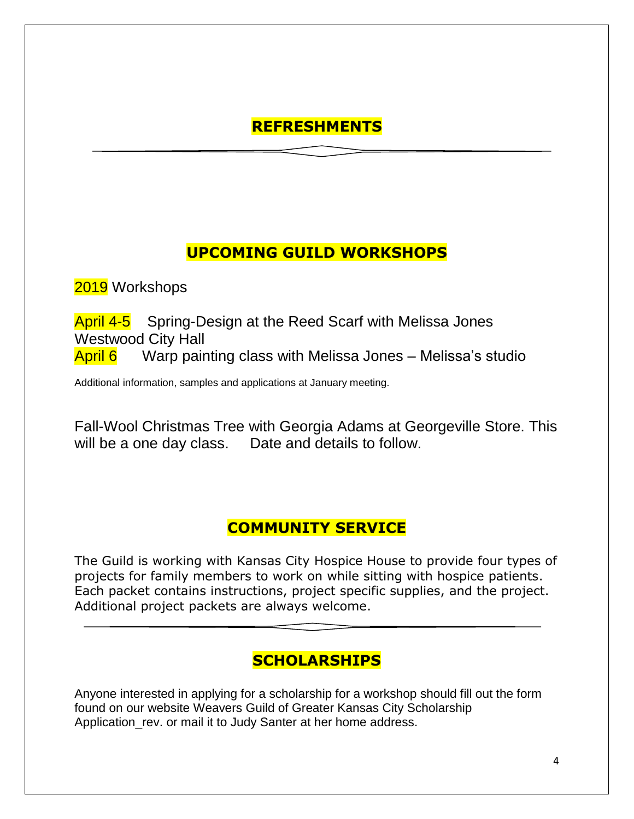## **REFRESHMENTS**

## **UPCOMING GUILD WORKSHOPS**

2019 Workshops

April 4-5 Spring-Design at the Reed Scarf with Melissa Jones Westwood City Hall **April 6** Warp painting class with Melissa Jones – Melissa's studio

Additional information, samples and applications at January meeting.

Fall-Wool Christmas Tree with Georgia Adams at Georgeville Store. This will be a one day class. Date and details to follow.

## **COMMUNITY SERVICE**

The Guild is working with Kansas City Hospice House to provide four types of projects for family members to work on while sitting with hospice patients. Each packet contains instructions, project specific supplies, and the project. Additional project packets are always welcome.

## **SCHOLARSHIPS**

Anyone interested in applying for a scholarship for a workshop should fill out the form found on our website Weavers Guild of Greater Kansas City Scholarship Application rev. or mail it to Judy Santer at her home address.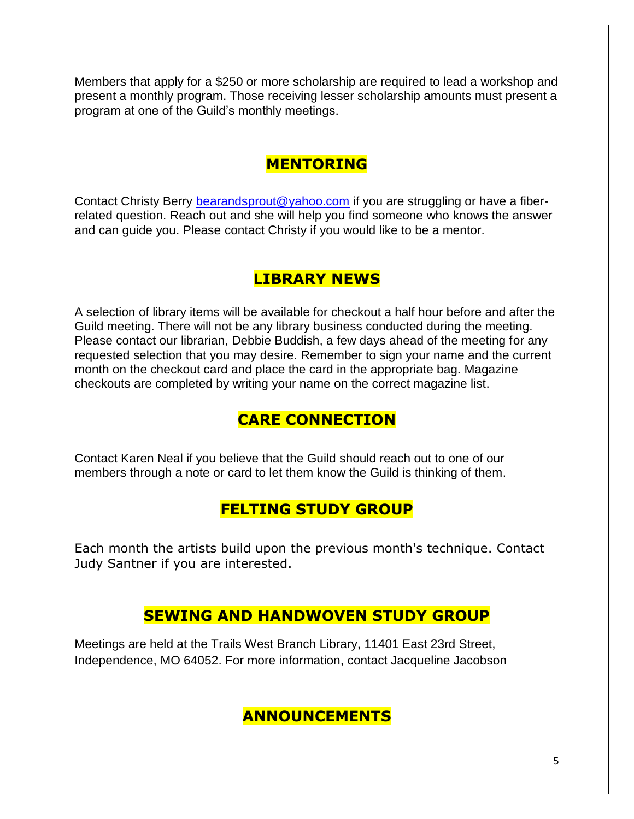Members that apply for a \$250 or more scholarship are required to lead a workshop and present a monthly program. Those receiving lesser scholarship amounts must present a program at one of the Guild's monthly meetings.

## **MENTORING**

Contact Christy Berry [bearandsprout@yahoo.com](mailto:bearandsprout@yahoo.com) if you are struggling or have a fiberrelated question. Reach out and she will help you find someone who knows the answer and can guide you. Please contact Christy if you would like to be a mentor.

### **LIBRARY NEWS**

A selection of library items will be available for checkout a half hour before and after the Guild meeting. There will not be any library business conducted during the meeting. Please contact our librarian, Debbie Buddish, a few days ahead of the meeting for any requested selection that you may desire. Remember to sign your name and the current month on the checkout card and place the card in the appropriate bag. Magazine checkouts are completed by writing your name on the correct magazine list.

#### **CARE CONNECTION**

Contact Karen Neal if you believe that the Guild should reach out to one of our members through a note or card to let them know the Guild is thinking of them.

#### **FELTING STUDY GROUP**

Each month the artists build upon the previous month's technique. Contact Judy Santner if you are interested.

## **SEWING AND HANDWOVEN STUDY GROUP**

Meetings are held at the Trails West Branch Library, 11401 East 23rd Street, Independence, MO 64052. For more information, contact Jacqueline Jacobson

## **ANNOUNCEMENTS**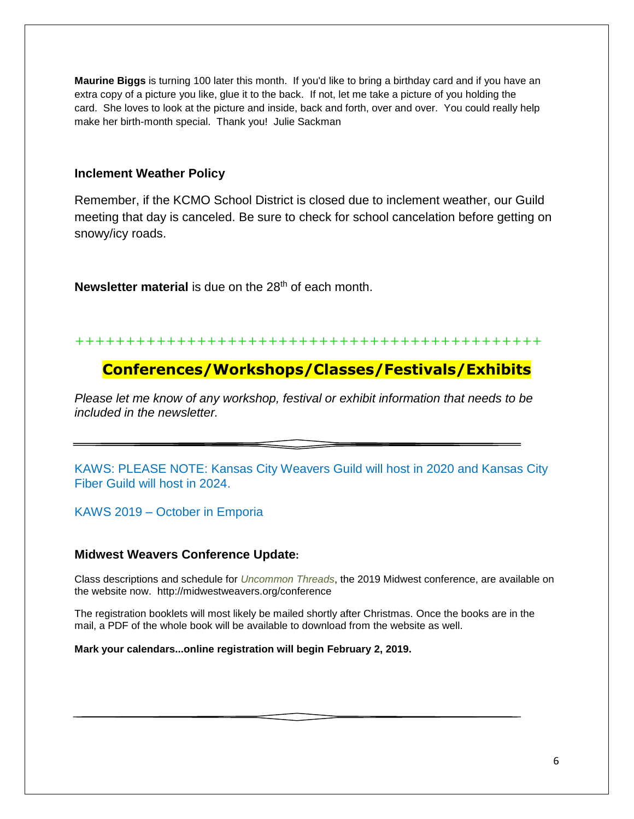**Maurine Biggs** is turning 100 later this month. If you'd like to bring a birthday card and if you have an extra copy of a picture you like, glue it to the back. If not, let me take a picture of you holding the card. She loves to look at the picture and inside, back and forth, over and over. You could really help make her birth-month special. Thank you! Julie Sackman

#### **Inclement Weather Policy**

Remember, if the KCMO School District is closed due to inclement weather, our Guild meeting that day is canceled. Be sure to check for school cancelation before getting on snowy/icy roads.

**Newsletter material** is due on the 28<sup>th</sup> of each month.

++++++++++++++++++++++++++++++++++++++++++++++

## **Conferences/Workshops/Classes/Festivals/Exhibits**

*Please let me know of any workshop, festival or exhibit information that needs to be included in the newsletter.* 

KAWS: PLEASE NOTE: Kansas City Weavers Guild will host in 2020 and Kansas City Fiber Guild will host in 2024.

KAWS 2019 – October in Emporia

#### **Midwest Weavers Conference Update:**

Class descriptions and schedule for *Uncommon Threads*, the 2019 Midwest conference, are available on the website now. <http://midwestweavers.org/conference>

The registration booklets will most likely be mailed shortly after Christmas. Once the books are in the mail, a PDF of the whole book will be available to download from the website as well.

**Mark your calendars...online registration will begin February 2, 2019.**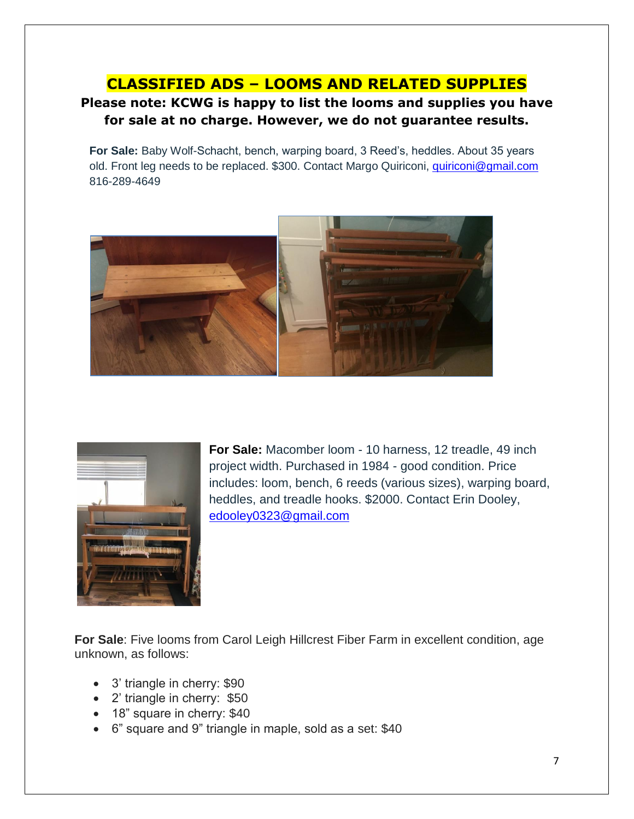# **CLASSIFIED ADS – LOOMS AND RELATED SUPPLIES**

#### **Please note: KCWG is happy to list the looms and supplies you have for sale at no charge. However, we do not guarantee results.**

**For Sale:** Baby Wolf-Schacht, bench, warping board, 3 Reed's, heddles. About 35 years old. Front leg needs to be replaced. \$300. Contact Margo Quiriconi, [quiriconi@gmail.com](mailto:quiriconi@gmail.com) 816-289-4649





**For Sale:** Macomber loom - 10 harness, 12 treadle, 49 inch project width. Purchased in 1984 - good condition. Price includes: loom, bench, 6 reeds (various sizes), warping board, heddles, and treadle hooks. \$2000. Contact Erin Dooley, [edooley0323@gmail.com](mailto:edooley0323@gmail.com)

**For Sale**: Five looms from Carol Leigh Hillcrest Fiber Farm in excellent condition, age unknown, as follows:

- 3' triangle in cherry: \$90
- 2' triangle in cherry: \$50
- 18" square in cherry: \$40
- 6" square and 9" triangle in maple, sold as a set: \$40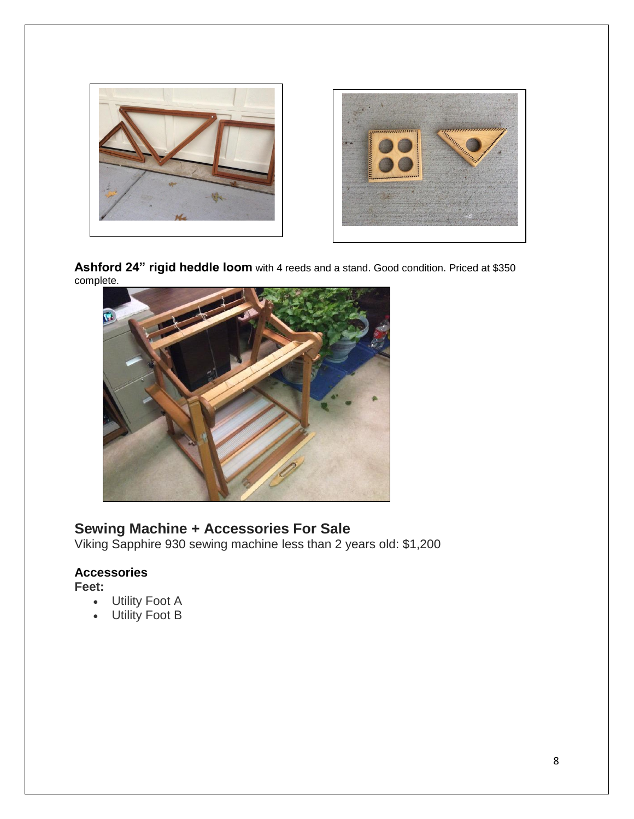



**Ashford 24" rigid heddle loom** with 4 reeds and a stand. Good condition. Priced at \$350 complete.



### **Sewing Machine + Accessories For Sale**

Viking Sapphire 930 sewing machine less than 2 years old: \$1,200

#### **Accessories**

**Feet:**

- Utility Foot A
- Utility Foot B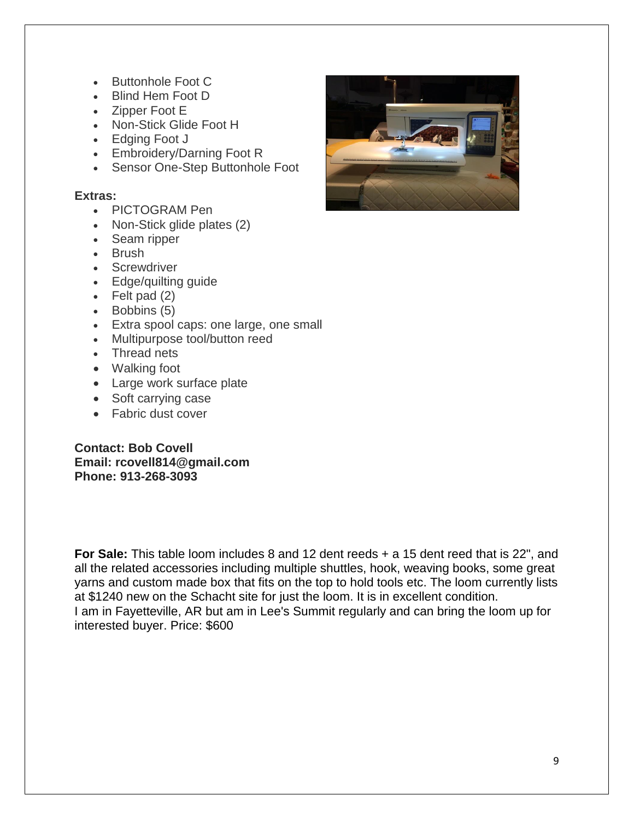- Buttonhole Foot C
- Blind Hem Foot D
- Zipper Foot E
- Non-Stick Glide Foot H
- Edging Foot J
- Embroidery/Darning Foot R
- Sensor One-Step Buttonhole Foot

#### **Extras:**

- PICTOGRAM Pen
- Non-Stick glide plates (2)
- Seam ripper
- Brush
- Screwdriver
- Edge/quilting guide
- Felt pad (2)
- Bobbins (5)
- Extra spool caps: one large, one small
- Multipurpose tool/button reed
- Thread nets
- Walking foot
- Large work surface plate
- Soft carrying case
- Fabric dust cover

**Contact: Bob Covell Email: rcovell814@gmail.com Phone: 913-268-3093**

**For Sale:** This table loom includes 8 and 12 dent reeds + a 15 dent reed that is 22", and all the related accessories including multiple shuttles, hook, weaving books, some great yarns and custom made box that fits on the top to hold tools etc. The loom currently lists at \$1240 new on the Schacht site for just the loom. It is in excellent condition. I am in Fayetteville, AR but am in Lee's Summit regularly and can bring the loom up for interested buyer. Price: \$600

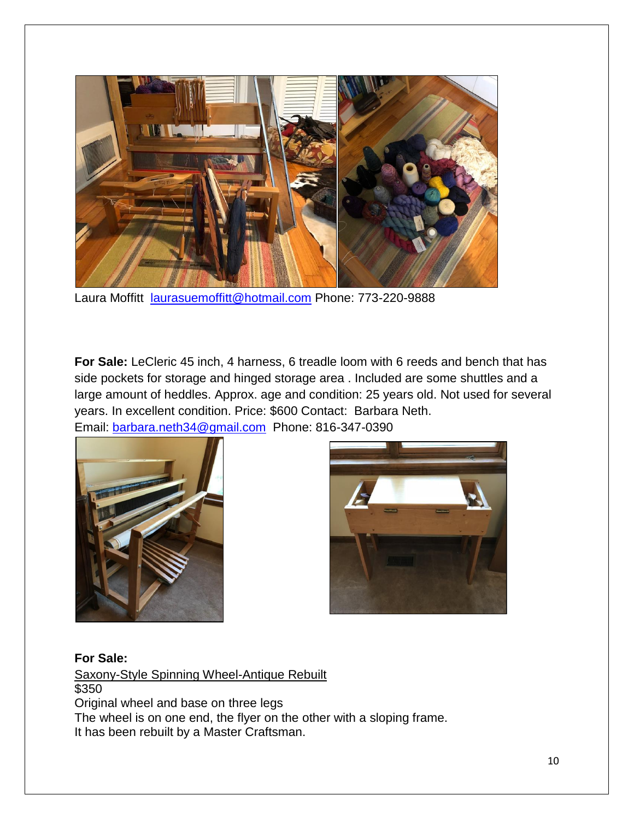

Laura Moffitt [laurasuemoffitt@hotmail.com](mailto:laurasuemoffitt@hotmail.com) Phone: 773-220-9888

**For Sale:** LeCleric 45 inch, 4 harness, 6 treadle loom with 6 reeds and bench that has side pockets for storage and hinged storage area . Included are some shuttles and a large amount of heddles. Approx. age and condition: 25 years old. Not used for several years. In excellent condition. Price: \$600 Contact: Barbara Neth. Email: [barbara.neth34@gmail.com](mailto:barbara.neth34@gmail.com) Phone: 816-347-0390





**For Sale:** Saxony-Style Spinning Wheel-Antique Rebuilt \$350 Original wheel and base on three legs The wheel is on one end, the flyer on the other with a sloping frame. It has been rebuilt by a Master Craftsman.